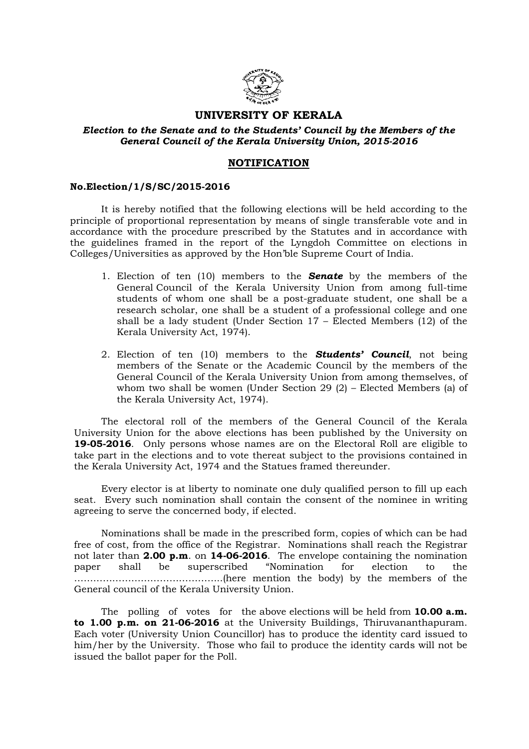

## UNIVERSITY OF KERALA

Election to the Senate and to the Students' Council by the Members of the General Council of the Kerala University Union, 2015-2016

## **NOTIFICATION**

## No.Election/1/S/SC/2015-2016

 It is hereby notified that the following elections will be held according to the principle of proportional representation by means of single transferable vote and in accordance with the procedure prescribed by the Statutes and in accordance with the guidelines framed in the report of the Lyngdoh Committee on elections in Colleges/Universities as approved by the Hon'ble Supreme Court of India.

- 1. Election of ten  $(10)$  members to the **Senate** by the members of the General Council of the Kerala University Union from among full-time students of whom one shall be a post-graduate student, one shall be a research scholar, one shall be a student of a professional college and one shall be a lady student (Under Section 17 – Elected Members (12) of the Kerala University Act, 1974).
- 2. Election of ten (10) members to the **Students' Council**, not being members of the Senate or the Academic Council by the members of the General Council of the Kerala University Union from among themselves, of whom two shall be women (Under Section 29 (2) – Elected Members (a) of the Kerala University Act, 1974).

 The electoral roll of the members of the General Council of the Kerala University Union for the above elections has been published by the University on 19-05-2016. Only persons whose names are on the Electoral Roll are eligible to take part in the elections and to vote thereat subject to the provisions contained in the Kerala University Act, 1974 and the Statues framed thereunder.

 Every elector is at liberty to nominate one duly qualified person to fill up each seat. Every such nomination shall contain the consent of the nominee in writing agreeing to serve the concerned body, if elected.

 Nominations shall be made in the prescribed form, copies of which can be had free of cost, from the office of the Registrar. Nominations shall reach the Registrar not later than 2.00 p.m. on 14-06-2016. The envelope containing the nomination paper shall be superscribed "Nomination for election to the ………………………………………..(here mention the body) by the members of the General council of the Kerala University Union.

The polling of votes for the above elections will be held from  $10.00 a.m.$ to 1.00 p.m. on 21-06-2016 at the University Buildings, Thiruvananthapuram. Each voter (University Union Councillor) has to produce the identity card issued to him/her by the University. Those who fail to produce the identity cards will not be issued the ballot paper for the Poll.